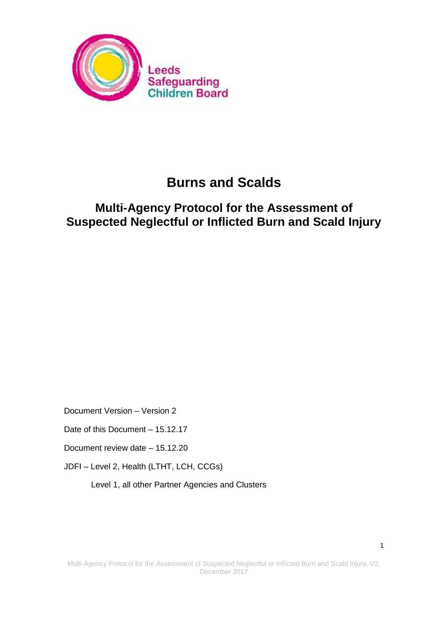

# **Burns and Scalds**

## **Multi-Agency Protocol for the Assessment of Suspected Neglectful or Inflicted Burn and Scald Injury**

Document Version – Version 2

Date of this Document – 15.12.17

Document review date – 15.12.20

JDFI – Level 2, Health (LTHT, LCH, CCGs)

Level 1, all other Partner Agencies and Clusters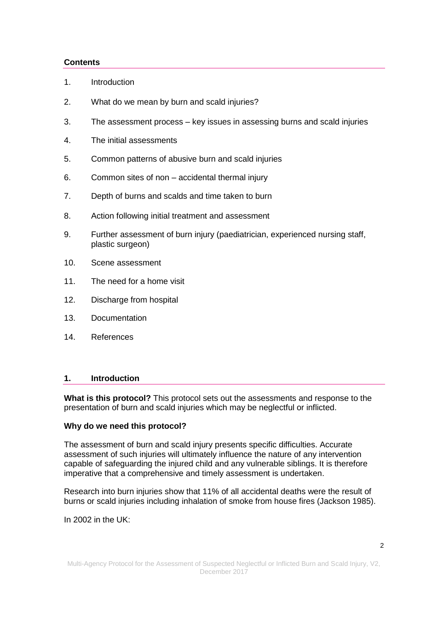## **Contents**

- 1. [Introduction](http://leedschildcare.proceduresonline.com/chapters/p_assess_neglect.html#intro#intro)
- 2. What do we mean by burn and scald injuries?
- 3. The assessment process key issues in assessing burns and scald injuries
- 4. The initial assessments
- 5. Common patterns of abusive burn and scald injuries
- 6. Common sites of non accidental thermal injury
- 7. Depth of burns and scalds and time taken to burn
- 8. Action following initial treatment and assessment
- 9. Further assessment of burn injury (paediatrician, experienced nursing staff, plastic surgeon)
- 10. Scene assessment
- 11. The need for a home visit
- 12. Discharge from hospital
- 13. Documentation
- 14. References

#### **1. Introduction**

**What is this protocol?** This protocol sets out the assessments and response to the presentation of burn and scald injuries which may be neglectful or inflicted.

#### **Why do we need this protocol?**

The assessment of burn and scald injury presents specific difficulties. Accurate assessment of such injuries will ultimately influence the nature of any intervention capable of safeguarding the injured child and any vulnerable siblings. It is therefore imperative that a comprehensive and timely assessment is undertaken.

Research into burn injuries show that 11% of all accidental deaths were the result of burns or scald injuries including inhalation of smoke from house fires (Jackson 1985).

In 2002 in the UK: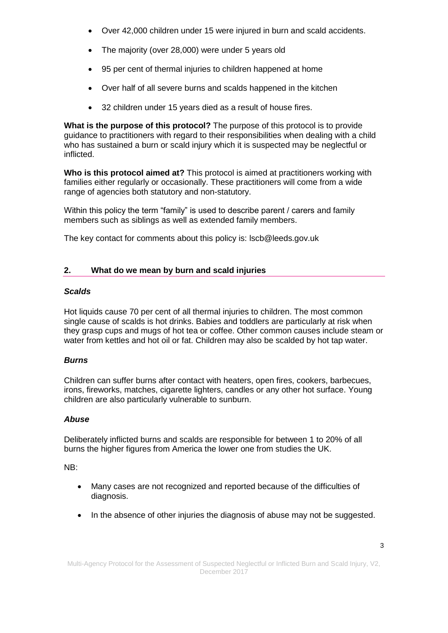- Over 42,000 children under 15 were injured in burn and scald accidents.
- The majority (over 28,000) were under 5 years old
- 95 per cent of thermal injuries to children happened at home
- Over half of all severe burns and scalds happened in the kitchen
- 32 children under 15 years died as a result of house fires.

**What is the purpose of this protocol?** The purpose of this protocol is to provide guidance to practitioners with regard to their responsibilities when dealing with a child who has sustained a burn or scald injury which it is suspected may be neglectful or inflicted.

**Who is this protocol aimed at?** This protocol is aimed at practitioners working with families either regularly or occasionally. These practitioners will come from a wide range of agencies both statutory and non-statutory.

Within this policy the term "family" is used to describe parent / carers and family members such as siblings as well as extended family members.

The key contact for comments about this policy is: lscb@leeds.gov.uk

## **2. What do we mean by burn and scald injuries**

## *Scalds*

Hot liquids cause 70 per cent of all thermal injuries to children. The most common single cause of scalds is hot drinks. Babies and toddlers are particularly at risk when they grasp cups and mugs of hot tea or coffee. Other common causes include steam or water from kettles and hot oil or fat. Children may also be scalded by hot tap water.

## *Burns*

Children can suffer burns after contact with heaters, open fires, cookers, barbecues, irons, fireworks, matches, cigarette lighters, candles or any other hot surface. Young children are also particularly vulnerable to sunburn.

## *Abuse*

Deliberately inflicted burns and scalds are responsible for between 1 to 20% of all burns the higher figures from America the lower one from studies the UK.

NB:

- Many cases are not recognized and reported because of the difficulties of diagnosis.
- In the absence of other injuries the diagnosis of abuse may not be suggested.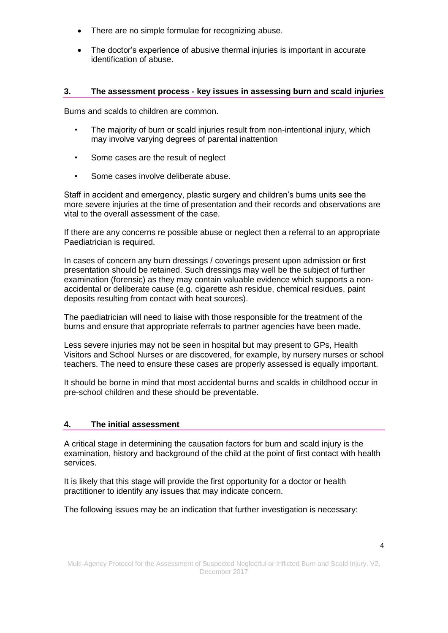- There are no simple formulae for recognizing abuse.
- The doctor's experience of abusive thermal injuries is important in accurate identification of abuse.

## **3. The assessment process - key issues in assessing burn and scald injuries**

Burns and scalds to children are common.

- The majority of burn or scald injuries result from non-intentional injury, which may involve varying degrees of parental inattention
- Some cases are the result of neglect
- Some cases involve deliberate abuse.

Staff in accident and emergency, plastic surgery and children's burns units see the more severe injuries at the time of presentation and their records and observations are vital to the overall assessment of the case.

If there are any concerns re possible abuse or neglect then a referral to an appropriate Paediatrician is required.

In cases of concern any burn dressings / coverings present upon admission or first presentation should be retained. Such dressings may well be the subject of further examination (forensic) as they may contain valuable evidence which supports a nonaccidental or deliberate cause (e.g. cigarette ash residue, chemical residues, paint deposits resulting from contact with heat sources).

The paediatrician will need to liaise with those responsible for the treatment of the burns and ensure that appropriate referrals to partner agencies have been made.

Less severe injuries may not be seen in hospital but may present to GPs, Health Visitors and School Nurses or are discovered, for example, by nursery nurses or school teachers. The need to ensure these cases are properly assessed is equally important.

It should be borne in mind that most accidental burns and scalds in childhood occur in pre-school children and these should be preventable.

## **4. The initial assessment**

A critical stage in determining the causation factors for burn and scald injury is the examination, history and background of the child at the point of first contact with health services.

It is likely that this stage will provide the first opportunity for a doctor or health practitioner to identify any issues that may indicate concern.

The following issues may be an indication that further investigation is necessary: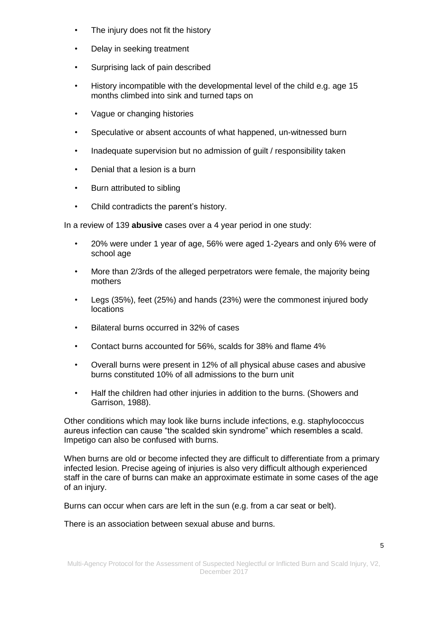- The injury does not fit the history
- Delay in seeking treatment
- Surprising lack of pain described
- History incompatible with the developmental level of the child e.g. age 15 months climbed into sink and turned taps on
- Vague or changing histories
- Speculative or absent accounts of what happened, un-witnessed burn
- Inadequate supervision but no admission of guilt / responsibility taken
- Denial that a lesion is a burn
- Burn attributed to sibling
- Child contradicts the parent's history.

In a review of 139 **abusive** cases over a 4 year period in one study:

- 20% were under 1 year of age, 56% were aged 1-2years and only 6% were of school age
- More than 2/3rds of the alleged perpetrators were female, the majority being mothers
- Legs (35%), feet (25%) and hands (23%) were the commonest injured body locations
- Bilateral burns occurred in 32% of cases
- Contact burns accounted for 56%, scalds for 38% and flame 4%
- Overall burns were present in 12% of all physical abuse cases and abusive burns constituted 10% of all admissions to the burn unit
- Half the children had other injuries in addition to the burns. (Showers and Garrison, 1988).

Other conditions which may look like burns include infections, e.g. staphylococcus aureus infection can cause "the scalded skin syndrome" which resembles a scald. Impetigo can also be confused with burns.

When burns are old or become infected they are difficult to differentiate from a primary infected lesion. Precise ageing of injuries is also very difficult although experienced staff in the care of burns can make an approximate estimate in some cases of the age of an injury.

Burns can occur when cars are left in the sun (e.g. from a car seat or belt).

There is an association between sexual abuse and burns.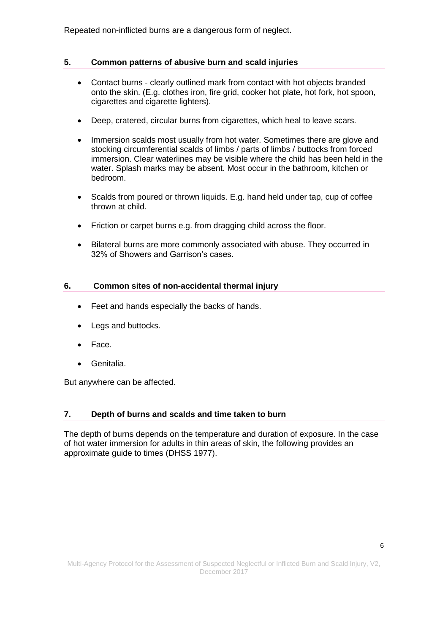Repeated non-inflicted burns are a dangerous form of neglect.

## **5. Common patterns of abusive burn and scald injuries**

- Contact burns clearly outlined mark from contact with hot objects branded onto the skin. (E.g. clothes iron, fire grid, cooker hot plate, hot fork, hot spoon, cigarettes and cigarette lighters).
- Deep, cratered, circular burns from cigarettes, which heal to leave scars.
- Immersion scalds most usually from hot water. Sometimes there are glove and stocking circumferential scalds of limbs / parts of limbs / buttocks from forced immersion. Clear waterlines may be visible where the child has been held in the water. Splash marks may be absent. Most occur in the bathroom, kitchen or bedroom.
- Scalds from poured or thrown liquids. E.g. hand held under tap, cup of coffee thrown at child.
- Friction or carpet burns e.g. from dragging child across the floor.
- Bilateral burns are more commonly associated with abuse. They occurred in 32% of Showers and Garrison's cases.

## **6. Common sites of non-accidental thermal injury**

- Feet and hands especially the backs of hands.
- Legs and buttocks.
- Face.
- Genitalia.

But anywhere can be affected.

## **7. Depth of burns and scalds and time taken to burn**

The depth of burns depends on the temperature and duration of exposure. In the case of hot water immersion for adults in thin areas of skin, the following provides an approximate guide to times (DHSS 1977).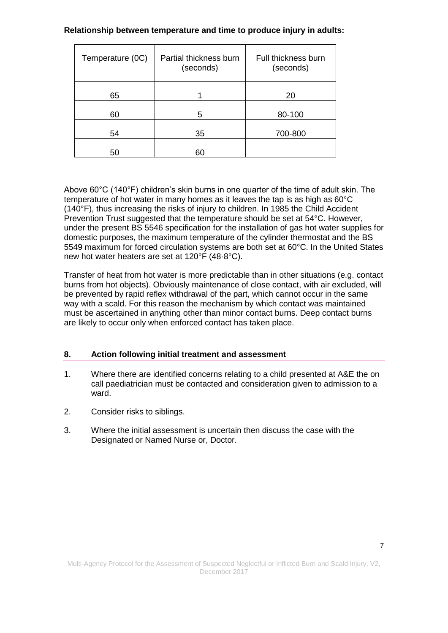## **Relationship between temperature and time to produce injury in adults:**

| Temperature (0C) | Partial thickness burn<br>(seconds) | Full thickness burn<br>(seconds) |
|------------------|-------------------------------------|----------------------------------|
| 65               |                                     | 20                               |
| 60               | 5                                   | 80-100                           |
| 54               | 35                                  | 700-800                          |
| 50               | 60                                  |                                  |

Above 60°C (140°F) children's skin burns in one quarter of the time of adult skin. The temperature of hot water in many homes as it leaves the tap is as high as 60°C (140°F), thus increasing the risks of injury to children. In 1985 the Child Accident Prevention Trust suggested that the temperature should be set at 54°C. However, under the present BS 5546 specification for the installation of gas hot water supplies for domestic purposes, the maximum temperature of the cylinder thermostat and the BS 5549 maximum for forced circulation systems are both set at 60°C. In the United States new hot water heaters are set at 120°F (48·8°C).

Transfer of heat from hot water is more predictable than in other situations (e.g. contact burns from hot objects). Obviously maintenance of close contact, with air excluded, will be prevented by rapid reflex withdrawal of the part, which cannot occur in the same way with a scald. For this reason the mechanism by which contact was maintained must be ascertained in anything other than minor contact burns. Deep contact burns are likely to occur only when enforced contact has taken place.

## **8. Action following initial treatment and assessment**

- 1. Where there are identified concerns relating to a child presented at A&E the on call paediatrician must be contacted and consideration given to admission to a ward.
- 2. Consider risks to siblings.
- 3. Where the initial assessment is uncertain then discuss the case with the Designated or Named Nurse or, Doctor.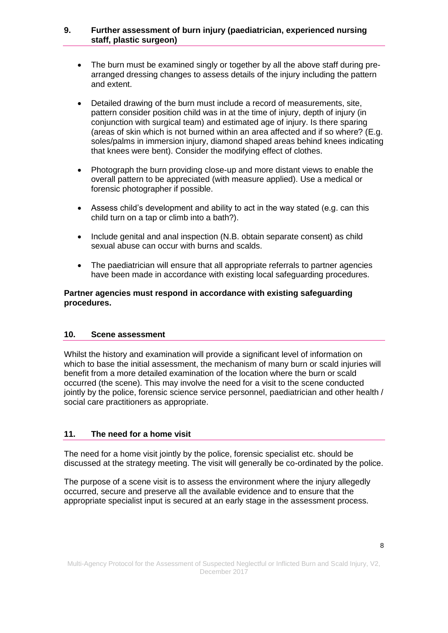### **9. Further assessment of burn injury (paediatrician, experienced nursing staff, plastic surgeon)**

- The burn must be examined singly or together by all the above staff during prearranged dressing changes to assess details of the injury including the pattern and extent.
- Detailed drawing of the burn must include a record of measurements, site, pattern consider position child was in at the time of injury, depth of injury (in conjunction with surgical team) and estimated age of injury. Is there sparing (areas of skin which is not burned within an area affected and if so where? (E.g. soles/palms in immersion injury, diamond shaped areas behind knees indicating that knees were bent). Consider the modifying effect of clothes.
- Photograph the burn providing close-up and more distant views to enable the overall pattern to be appreciated (with measure applied). Use a medical or forensic photographer if possible.
- Assess child's development and ability to act in the way stated (e.g. can this child turn on a tap or climb into a bath?).
- Include genital and anal inspection (N.B. obtain separate consent) as child sexual abuse can occur with burns and scalds.
- The paediatrician will ensure that all appropriate referrals to partner agencies have been made in accordance with existing local safeguarding procedures.

## **Partner agencies must respond in accordance with existing safeguarding procedures.**

## **10. Scene assessment**

Whilst the history and examination will provide a significant level of information on which to base the initial assessment, the mechanism of many burn or scald injuries will benefit from a more detailed examination of the location where the burn or scald occurred (the scene). This may involve the need for a visit to the scene conducted jointly by the police, forensic science service personnel, paediatrician and other health / social care practitioners as appropriate.

## **11. The need for a home visit**

The need for a home visit jointly by the police, forensic specialist etc. should be discussed at the strategy meeting. The visit will generally be co-ordinated by the police.

The purpose of a scene visit is to assess the environment where the injury allegedly occurred, secure and preserve all the available evidence and to ensure that the appropriate specialist input is secured at an early stage in the assessment process.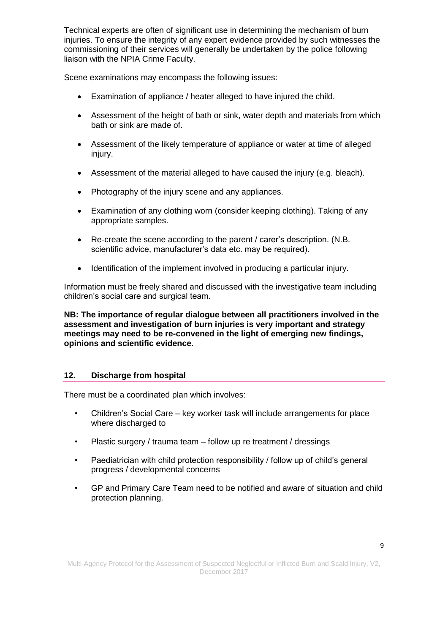Technical experts are often of significant use in determining the mechanism of burn injuries. To ensure the integrity of any expert evidence provided by such witnesses the commissioning of their services will generally be undertaken by the police following liaison with the NPIA Crime Faculty.

Scene examinations may encompass the following issues:

- Examination of appliance / heater alleged to have injured the child.
- Assessment of the height of bath or sink, water depth and materials from which bath or sink are made of.
- Assessment of the likely temperature of appliance or water at time of alleged injury.
- Assessment of the material alleged to have caused the injury (e.g. bleach).
- Photography of the injury scene and any appliances.
- Examination of any clothing worn (consider keeping clothing). Taking of any appropriate samples.
- Re-create the scene according to the parent / carer's description. (N.B. scientific advice, manufacturer's data etc. may be required).
- Identification of the implement involved in producing a particular injury.

Information must be freely shared and discussed with the investigative team including children's social care and surgical team.

**NB: The importance of regular dialogue between all practitioners involved in the assessment and investigation of burn injuries is very important and strategy meetings may need to be re-convened in the light of emerging new findings, opinions and scientific evidence.**

## **12. Discharge from hospital**

There must be a coordinated plan which involves:

- Children's Social Care key worker task will include arrangements for place where discharged to
- Plastic surgery / trauma team follow up re treatment / dressings
- Paediatrician with child protection responsibility / follow up of child's general progress / developmental concerns
- GP and Primary Care Team need to be notified and aware of situation and child protection planning.